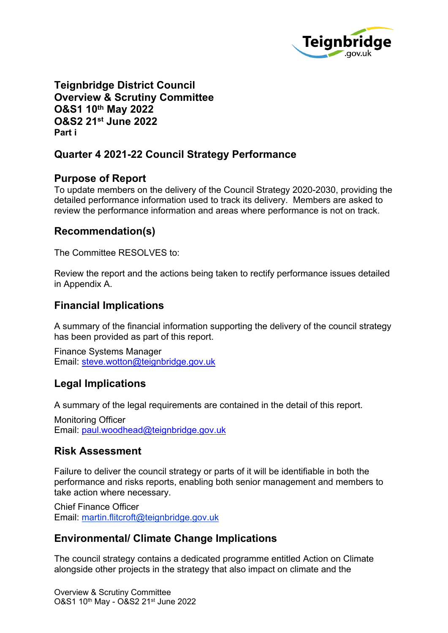

**Teignbridge District Council Overview & Scrutiny Committee O&S1 10th May 2022 O&S2 21st June 2022 Part i**

# **Quarter 4 2021-22 Council Strategy Performance**

### **Purpose of Report**

To update members on the delivery of the Council Strategy 2020-2030, providing the detailed performance information used to track its delivery. Members are asked to review the performance information and areas where performance is not on track.

### **Recommendation(s)**

The Committee RESOLVES to:

Review the report and the actions being taken to rectify performance issues detailed in Appendix A.

# **Financial Implications**

A summary of the financial information supporting the delivery of the council strategy has been provided as part of this report.

Finance Systems Manager Email: [steve.wotton@teignbridge.gov.uk](mailto:steve.wotton@teignbridge.gov.uk)

# **Legal Implications**

A summary of the legal requirements are contained in the detail of this report.

Monitoring Officer Email: [paul.woodhead@teignbridge.gov.uk](mailto:paul.woodhead@teignbridge.gov.uk)

### **Risk Assessment**

Failure to deliver the council strategy or parts of it will be identifiable in both the performance and risks reports, enabling both senior management and members to take action where necessary.

Chief Finance Officer Email: [martin.flitcroft@teignbridge.gov.uk](mailto:martin.flitcroft@teignbridge.gov.uk)

# **Environmental/ Climate Change Implications**

The council strategy contains a dedicated programme entitled Action on Climate alongside other projects in the strategy that also impact on climate and the

Overview & Scrutiny Committee O&S1 10th May - O&S2 21st June 2022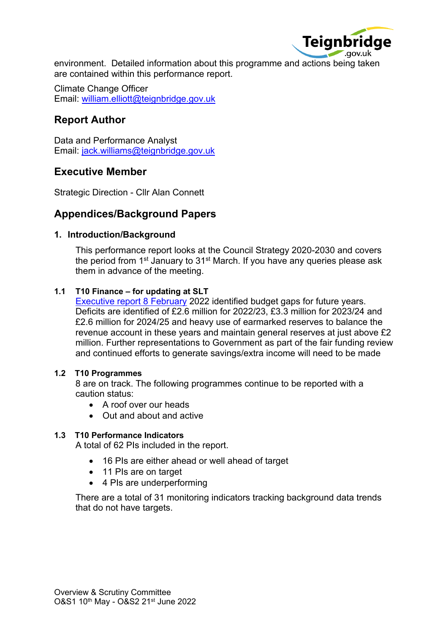

environment. Detailed information about this programme and actions being taken are contained within this performance report.

Climate Change Officer Email: [william.elliott@teignbridge.gov.uk](mailto:william.elliott@teignbridge.gov.uk)

## **Report Author**

Data and Performance Analyst Email: [jack.williams@teignbridge.gov.uk](mailto:jack.williams@teignbridge.gov.uk)

### **Executive Member**

Strategic Direction - Cllr Alan Connett

### **Appendices/Background Papers**

### **1. Introduction/Background**

This performance report looks at the Council Strategy 2020-2030 and covers the period from 1<sup>st</sup> January to 31<sup>st</sup> March. If you have any queries please ask them in advance of the meeting.

### **1.1 T10 Finance – for updating at SLT**

[Executive](https://democracy.teignbridge.gov.uk/documents/s14376/APP%20Executive%208%20February%20-%20final%20budget%20proposals.pdf) report 8 February 2022 identified budget gaps for future years. Deficits are identified of £2.6 million for 2022/23, £3.3 million for 2023/24 and £2.6 million for 2024/25 and heavy use of earmarked reserves to balance the revenue account in these years and maintain general reserves at just above £2 million. Further representations to Government as part of the fair funding review and continued efforts to generate savings/extra income will need to be made

### **1.2 T10 Programmes**

8 are on track. The following programmes continue to be reported with a caution status:

- A roof over our heads
- Out and about and active

### **1.3 T10 Performance Indicators**

A total of 62 PIs included in the report.

- 16 PIs are either ahead or well ahead of target
- 11 Pls are on target
- 4 PIs are underperforming

There are a total of 31 monitoring indicators tracking background data trends that do not have targets.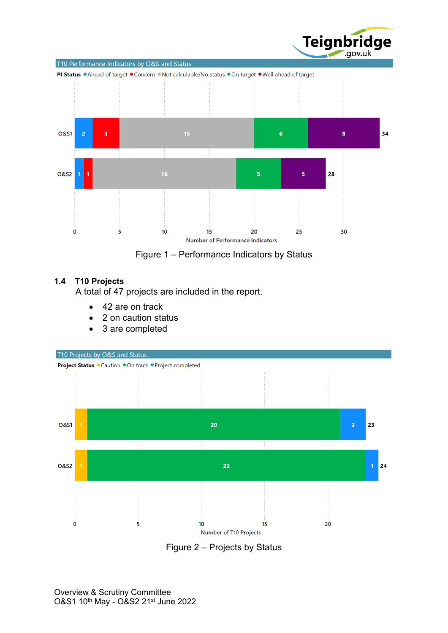

Figure 1 – Performance Indicators by Status

### **1.4 T10 Projects**

A total of 47 projects are included in the report.

- 42 are on track
- 2 on caution status
- 3 are completed



Figure 2 – Projects by Status